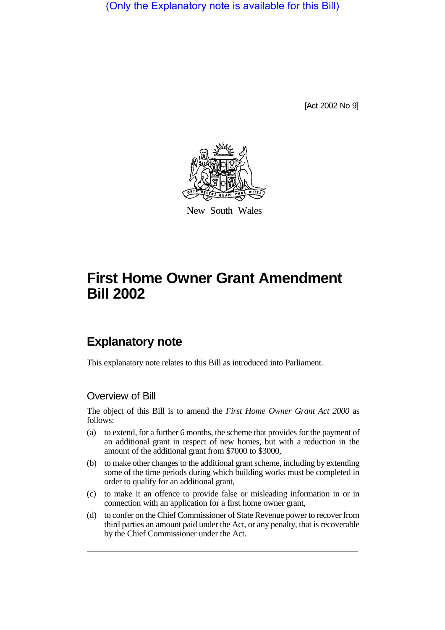(Only the Explanatory note is available for this Bill)

[Act 2002 No 9]



New South Wales

# **First Home Owner Grant Amendment Bill 2002**

# **Explanatory note**

This explanatory note relates to this Bill as introduced into Parliament.

### Overview of Bill

The object of this Bill is to amend the *First Home Owner Grant Act 2000* as follows:

- (a) to extend, for a further 6 months, the scheme that provides for the payment of an additional grant in respect of new homes, but with a reduction in the amount of the additional grant from \$7000 to \$3000,
- (b) to make other changes to the additional grant scheme, including by extending some of the time periods during which building works must be completed in order to qualify for an additional grant,
- (c) to make it an offence to provide false or misleading information in or in connection with an application for a first home owner grant,
- (d) to confer on the Chief Commissioner of State Revenue power to recover from third parties an amount paid under the Act, or any penalty, that is recoverable by the Chief Commissioner under the Act.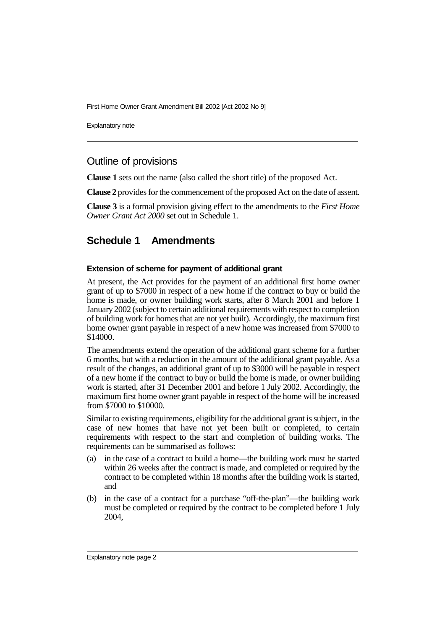First Home Owner Grant Amendment Bill 2002 [Act 2002 No 9]

Explanatory note

## Outline of provisions

**Clause 1** sets out the name (also called the short title) of the proposed Act.

**Clause 2** provides for the commencement of the proposed Act on the date of assent.

**Clause 3** is a formal provision giving effect to the amendments to the *First Home Owner Grant Act 2000* set out in Schedule 1.

# **Schedule 1 Amendments**

#### **Extension of scheme for payment of additional grant**

At present, the Act provides for the payment of an additional first home owner grant of up to \$7000 in respect of a new home if the contract to buy or build the home is made, or owner building work starts, after 8 March 2001 and before 1 January 2002 (subject to certain additional requirements with respect to completion of building work for homes that are not yet built). Accordingly, the maximum first home owner grant payable in respect of a new home was increased from \$7000 to \$14000.

The amendments extend the operation of the additional grant scheme for a further 6 months, but with a reduction in the amount of the additional grant payable. As a result of the changes, an additional grant of up to \$3000 will be payable in respect of a new home if the contract to buy or build the home is made, or owner building work is started, after 31 December 2001 and before 1 July 2002. Accordingly, the maximum first home owner grant payable in respect of the home will be increased from \$7000 to \$10000.

Similar to existing requirements, eligibility for the additional grant is subject, in the case of new homes that have not yet been built or completed, to certain requirements with respect to the start and completion of building works. The requirements can be summarised as follows:

- (a) in the case of a contract to build a home—the building work must be started within 26 weeks after the contract is made, and completed or required by the contract to be completed within 18 months after the building work is started, and
- (b) in the case of a contract for a purchase "off-the-plan"—the building work must be completed or required by the contract to be completed before 1 July 2004,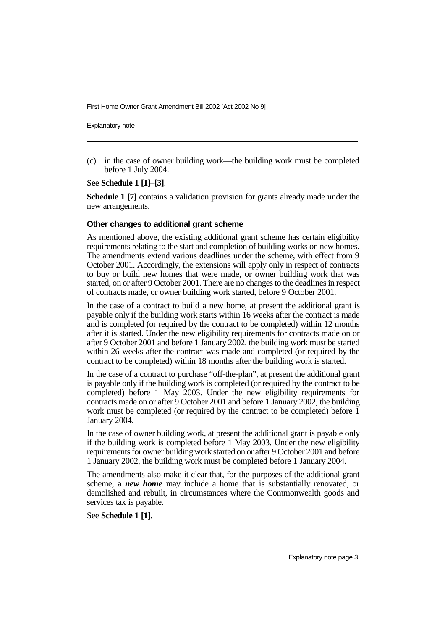First Home Owner Grant Amendment Bill 2002 [Act 2002 No 9]

Explanatory note

(c) in the case of owner building work—the building work must be completed before 1 July 2004.

See **Schedule 1 [1]**–**[3]**.

**Schedule 1 [7]** contains a validation provision for grants already made under the new arrangements.

#### **Other changes to additional grant scheme**

As mentioned above, the existing additional grant scheme has certain eligibility requirements relating to the start and completion of building works on new homes. The amendments extend various deadlines under the scheme, with effect from 9 October 2001. Accordingly, the extensions will apply only in respect of contracts to buy or build new homes that were made, or owner building work that was started, on or after 9 October 2001. There are no changes to the deadlines in respect of contracts made, or owner building work started, before 9 October 2001.

In the case of a contract to build a new home, at present the additional grant is payable only if the building work starts within 16 weeks after the contract is made and is completed (or required by the contract to be completed) within 12 months after it is started. Under the new eligibility requirements for contracts made on or after 9 October 2001 and before 1 January 2002, the building work must be started within 26 weeks after the contract was made and completed (or required by the contract to be completed) within 18 months after the building work is started.

In the case of a contract to purchase "off-the-plan", at present the additional grant is payable only if the building work is completed (or required by the contract to be completed) before 1 May 2003. Under the new eligibility requirements for contracts made on or after 9 October 2001 and before 1 January 2002, the building work must be completed (or required by the contract to be completed) before 1 January 2004.

In the case of owner building work, at present the additional grant is payable only if the building work is completed before 1 May 2003. Under the new eligibility requirements for owner building work started on or after 9 October 2001 and before 1 January 2002, the building work must be completed before 1 January 2004.

The amendments also make it clear that, for the purposes of the additional grant scheme, a *new home* may include a home that is substantially renovated, or demolished and rebuilt, in circumstances where the Commonwealth goods and services tax is payable.

See **Schedule 1 [1]**.